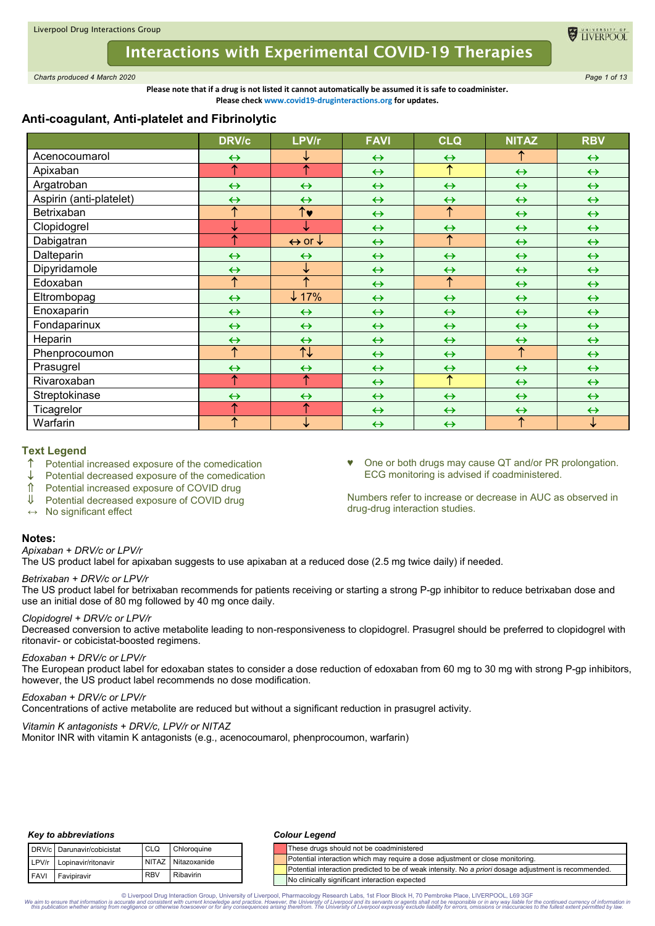# **Interactions with Experimental COVID-19 Therapies**

*Charts produced 4 March 2020 Page 1 of 13*

**Please note that if a drug is not listed it cannot automatically be assumed it is safe to coadminister. Please check www.covid19-druginteractions.org for updates.**

# **Anti-coagulant, Anti-platelet and Fibrinolytic**

|                         | <b>DRV/c</b>      | LPV/r                             | <b>FAVI</b>       | <b>CLQ</b>            | <b>NITAZ</b>      | <b>RBV</b>        |
|-------------------------|-------------------|-----------------------------------|-------------------|-----------------------|-------------------|-------------------|
| Acenocoumarol           | $\leftrightarrow$ | ↓                                 | $\leftrightarrow$ | $\leftrightarrow$     |                   | $\leftrightarrow$ |
| Apixaban                | ↑                 | 个                                 | $\leftrightarrow$ | ↑                     | $\leftrightarrow$ | $\leftrightarrow$ |
| Argatroban              | $\leftrightarrow$ | $\leftrightarrow$                 | $\leftrightarrow$ | $\leftrightarrow$     | $\leftrightarrow$ | $\leftrightarrow$ |
| Aspirin (anti-platelet) | $\leftrightarrow$ | $\leftrightarrow$                 | $\leftrightarrow$ | $\leftrightarrow$     | $\leftrightarrow$ | $\leftrightarrow$ |
| Betrixaban              | ↑                 | $\overline{\uparrow}$ v           | $\leftrightarrow$ | ↑                     | $\leftrightarrow$ | $\leftrightarrow$ |
| Clopidogrel             | ↓                 | ↓                                 | $\leftrightarrow$ | $\leftrightarrow$     | $\leftrightarrow$ | $\leftrightarrow$ |
| Dabigatran              | ↑                 | $\leftrightarrow$ or $\downarrow$ | $\leftrightarrow$ | ↑                     | $\leftrightarrow$ | $\leftrightarrow$ |
| Dalteparin              | $\leftrightarrow$ | $\leftrightarrow$                 | $\leftrightarrow$ | $\leftrightarrow$     | $\leftrightarrow$ | $\leftrightarrow$ |
| Dipyridamole            | $\leftrightarrow$ | ↓                                 | $\leftrightarrow$ | $\leftrightarrow$     | $\leftrightarrow$ | $\leftrightarrow$ |
| Edoxaban                | ↑                 | ↑                                 | $\leftrightarrow$ | ↑                     | $\leftrightarrow$ | $\leftrightarrow$ |
| Eltrombopag             | $\leftrightarrow$ | $\downarrow$ 17%                  | $\leftrightarrow$ | $\leftrightarrow$     | $\leftrightarrow$ | $\leftrightarrow$ |
| Enoxaparin              | $\leftrightarrow$ | $\leftrightarrow$                 | $\leftrightarrow$ | $\leftrightarrow$     | $\leftrightarrow$ | $\leftrightarrow$ |
| Fondaparinux            | $\leftrightarrow$ | $\leftrightarrow$                 | $\leftrightarrow$ | $\leftrightarrow$     | $\leftrightarrow$ | $\leftrightarrow$ |
| Heparin                 | $\leftrightarrow$ | $\leftrightarrow$                 | $\leftrightarrow$ | $\leftrightarrow$     | $\leftrightarrow$ | $\leftrightarrow$ |
| Phenprocoumon           | ↑                 | $\overline{\uparrow\downarrow}$   | $\leftrightarrow$ | $\leftrightarrow$     | ↑                 | $\leftrightarrow$ |
| Prasugrel               | $\leftrightarrow$ | $\leftrightarrow$                 | $\leftrightarrow$ | $\leftrightarrow$     | $\leftrightarrow$ | $\leftrightarrow$ |
| Rivaroxaban             | ↑                 | ↑                                 | $\leftrightarrow$ | $\overline{\uparrow}$ | $\leftrightarrow$ | $\leftrightarrow$ |
| Streptokinase           | $\leftrightarrow$ | $\leftrightarrow$                 | $\leftrightarrow$ | $\leftrightarrow$     | $\leftrightarrow$ | $\leftrightarrow$ |
| Ticagrelor              | ↑                 | ↑                                 | $\leftrightarrow$ | $\leftrightarrow$     | $\leftrightarrow$ | $\leftrightarrow$ |
| Warfarin                | ↑                 | ↓                                 | $\leftrightarrow$ | $\leftrightarrow$     | 个                 | $\downarrow$      |

# **Text Legend**

- $\uparrow$  Potential increased exposure of the comedication  $\downarrow$  Potential decreased exposure of the comedication
- $\downarrow$  Potential decreased exposure of the comedication<br>  $\uparrow$  Potential increased exposure of COVID drug
- $\hat{\textbf{I}}$  Potential increased exposure of COVID drug<br> $\hat{\textbf{I}}$  Potential decreased exposure of COVID drug
- Potential decreased exposure of COVID drug
- **↔** No significant effect

# **Notes:**

#### *Apixaban + DRV/c or LPV/r*

The US product label for apixaban suggests to use apixaban at a reduced dose (2.5 mg twice daily) if needed.

# *Betrixaban + DRV/c or LPV/r*

The US product label for betrixaban recommends for patients receiving or starting a strong P-gp inhibitor to reduce betrixaban dose and use an initial dose of 80 mg followed by 40 mg once daily.

# *Clopidogrel + DRV/c or LPV/r*

Decreased conversion to active metabolite leading to non-responsiveness to clopidogrel. Prasugrel should be preferred to clopidogrel with ritonavir- or cobicistat-boosted regimens.

# *Edoxaban + DRV/c or LPV/r*

The European product label for edoxaban states to consider a dose reduction of edoxaban from 60 mg to 30 mg with strong P-gp inhibitors, however, the US product label recommends no dose modification.

# *Edoxaban + DRV/c or LPV/r*

Concentrations of active metabolite are reduced but without a significant reduction in prasugrel activity.

# *Vitamin K antagonists + DRV/c, LPV/r or NITAZ*

Monitor INR with vitamin K antagonists (e.g., acenocoumarol, phenprocoumon, warfarin)

# *Key to abbreviations*

|             | DRV/c Darunavir/cobicistat | CLO <sub>1</sub> | Chloroquine        |
|-------------|----------------------------|------------------|--------------------|
|             | LPV/r Lopinavir/ritonavir  |                  | NITAZ Nitazoxanide |
| <b>FAVI</b> | Favipiravir                | . RBV            | Ribavirin          |

#### *Colour Legend*

| Chloroquine     |  |  | These drugs should not be coadministered                                                               |
|-----------------|--|--|--------------------------------------------------------------------------------------------------------|
| AZ Nitazoxanide |  |  | Potential interaction which may require a dose adjustment or close monitoring.                         |
|                 |  |  | Potential interaction predicted to be of weak intensity. No a priori dosage adiustment is recommended. |
| Ribavirin       |  |  | No clinically significant interaction expected                                                         |

♥ One or both drugs may cause QT and/or PR prolongation.

Numbers refer to increase or decrease in AUC as observed in

ECG monitoring is advised if coadministered.

drug-drug interaction studies.

TIVERPO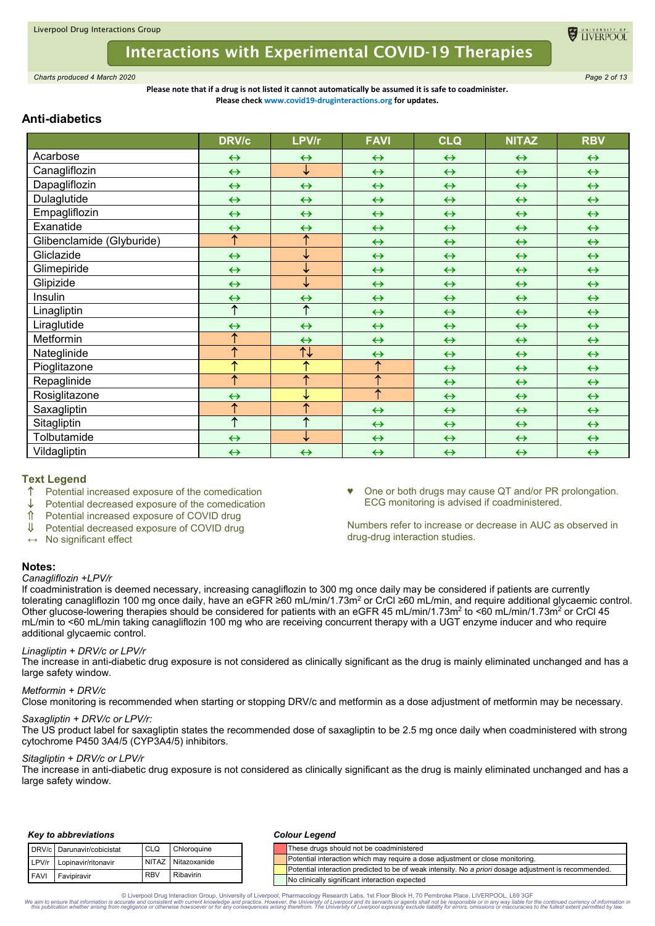

*Charts produced 4 March 2020 Page 2 of 13*

#### **Please note that if a drug is not listed it cannot automatically be assumed it is safe to coadminister. Please check www.covid19-druginteractions.org for updates.**

# **Anti-diabetics**

|                           | <b>DRV/c</b>          | LPV/r                    | <b>FAVI</b>           | <b>CLQ</b>        | <b>NITAZ</b>      | <b>RBV</b>        |
|---------------------------|-----------------------|--------------------------|-----------------------|-------------------|-------------------|-------------------|
| Acarbose                  | $\leftrightarrow$     | $\leftrightarrow$        | $\leftrightarrow$     | $\leftrightarrow$ | $\leftrightarrow$ | $\leftrightarrow$ |
| Canagliflozin             | $\leftrightarrow$     | $\downarrow$             | $\leftrightarrow$     | $\leftrightarrow$ | $\leftrightarrow$ | $\leftrightarrow$ |
| Dapagliflozin             | $\leftrightarrow$     | $\leftrightarrow$        | $\leftrightarrow$     | $\leftrightarrow$ | $\leftrightarrow$ | $\leftrightarrow$ |
| Dulaglutide               | $\leftrightarrow$     | $\leftrightarrow$        | $\leftrightarrow$     | $\leftrightarrow$ | $\leftrightarrow$ | $\leftrightarrow$ |
| Empagliflozin             | $\leftrightarrow$     | $\leftrightarrow$        | $\leftrightarrow$     | $\leftrightarrow$ | $\leftrightarrow$ | $\leftrightarrow$ |
| Exanatide                 | $\leftrightarrow$     | $\leftrightarrow$        | $\leftrightarrow$     | $\leftrightarrow$ | $\leftrightarrow$ | $\leftrightarrow$ |
| Glibenclamide (Glyburide) | $\uparrow$            | ↑                        | $\leftrightarrow$     | $\leftrightarrow$ | $\leftrightarrow$ | $\leftrightarrow$ |
| Gliclazide                | $\leftrightarrow$     | ↓                        | $\leftrightarrow$     | $\leftrightarrow$ | $\leftrightarrow$ | $\leftrightarrow$ |
| Glimepiride               | $\leftrightarrow$     | ↓                        | $\leftrightarrow$     | $\leftrightarrow$ | $\leftrightarrow$ | $\leftrightarrow$ |
| Glipizide                 | $\leftrightarrow$     | ↓                        | $\leftrightarrow$     | $\leftrightarrow$ | $\leftrightarrow$ | $\leftrightarrow$ |
| Insulin                   | $\leftrightarrow$     | $\leftrightarrow$        | $\leftrightarrow$     | $\leftrightarrow$ | $\leftrightarrow$ | $\leftrightarrow$ |
| Linagliptin               | $\overline{\Uparrow}$ | ↑                        | $\leftrightarrow$     | $\leftrightarrow$ | $\leftrightarrow$ | $\leftrightarrow$ |
| Liraglutide               | $\leftrightarrow$     | $\leftrightarrow$        | $\leftrightarrow$     | $\leftrightarrow$ | $\leftrightarrow$ | $\leftrightarrow$ |
| Metformin                 | $\uparrow$            | $\leftrightarrow$        | $\leftrightarrow$     | $\leftrightarrow$ | $\leftrightarrow$ | $\leftrightarrow$ |
| Nateglinide               | ↑                     | 11                       | $\leftrightarrow$     | $\leftrightarrow$ | $\leftrightarrow$ | $\leftrightarrow$ |
| Pioglitazone              | ↑                     | ↑                        | $\overline{\uparrow}$ | $\leftrightarrow$ | $\leftrightarrow$ | $\leftrightarrow$ |
| Repaglinide               | $\overline{\uparrow}$ | $\overline{\uparrow}$    | $\overline{\uparrow}$ | $\leftrightarrow$ | $\leftrightarrow$ | $\leftrightarrow$ |
| Rosiglitazone             | $\leftrightarrow$     | ↓                        | $\overline{\uparrow}$ | $\leftrightarrow$ | $\leftrightarrow$ | $\leftrightarrow$ |
| Saxagliptin               | ↑                     | ↑                        | $\leftrightarrow$     | $\leftrightarrow$ | $\leftrightarrow$ | $\leftrightarrow$ |
| Sitagliptin               | ↑                     | $\overline{\phantom{a}}$ | $\leftrightarrow$     | $\leftrightarrow$ | $\leftrightarrow$ | $\leftrightarrow$ |
| Tolbutamide               | $\leftrightarrow$     | ↓                        | $\leftrightarrow$     | $\leftrightarrow$ | $\leftrightarrow$ | $\leftrightarrow$ |
| Vildagliptin              | $\leftrightarrow$     | $\leftrightarrow$        | $\leftrightarrow$     | $\leftrightarrow$ | $\leftrightarrow$ | $\leftrightarrow$ |

# **Text Legend**

- $\uparrow$  Potential increased exposure of the comedication
- Potential decreased exposure of the comedication
- ↑ Potential increased exposure of COVID drug<br>Ⅱ Potential decreased exposure of COVID drug
- Potential decreased exposure of COVID drug
- **↔** No significant effect

ECG monitoring is advised if coadministered.

♥ One or both drugs may cause QT and/or PR prolongation.

**EL TIVERPO** 

Numbers refer to increase or decrease in AUC as observed in drug-drug interaction studies.

# **Notes:**

#### *Canagliflozin +LPV/r*

If coadministration is deemed necessary, increasing canagliflozin to 300 mg once daily may be considered if patients are currently tolerating canagliflozin 100 mg once daily, have an eGFR ≥60 mL/min/1.73m2 or CrCl ≥60 mL/min, and require additional glycaemic control. Other glucose-lowering therapies should be considered for patients with an eGFR 45 mL/min/1.73m<sup>2</sup> to <60 mL/min/1.73m<sup>2</sup> or CrCl 45 mL/min to <60 mL/min taking canagliflozin 100 mg who are receiving concurrent therapy with a UGT enzyme inducer and who require additional glycaemic control.

# *Linagliptin + DRV/c or LPV/r*

The increase in anti-diabetic drug exposure is not considered as clinically significant as the drug is mainly eliminated unchanged and has a large safety window.

# *Metformin + DRV/c*

Close monitoring is recommended when starting or stopping DRV/c and metformin as a dose adjustment of metformin may be necessary.

# *Saxagliptin + DRV/c or LPV/r:*

The US product label for saxagliptin states the recommended dose of saxagliptin to be 2.5 mg once daily when coadministered with strong cytochrome P450 3A4/5 (CYP3A4/5) inhibitors.

# *Sitagliptin + DRV/c or LPV/r*

The increase in anti-diabetic drug exposure is not considered as clinically significant as the drug is mainly eliminated unchanged and has a large safety window.

# *Key to abbreviations*

|             | DRV/c Darunavir/cobicistat | CLO        | Chloroquine        |
|-------------|----------------------------|------------|--------------------|
| LPV/r       | Lopinavir/ritonavir        |            | NITAZ Nitazoxanide |
| <b>FAVI</b> | Favipiravir                | <b>RBV</b> | Ribavirin          |

#### *Colour Legend*

|                            | DRV/c Darunavir/cobicistat | CLQ        | Chloroquine  |  |  | These drugs should not be coadministered                                                               |
|----------------------------|----------------------------|------------|--------------|--|--|--------------------------------------------------------------------------------------------------------|
| LPV/r                      | Lopinavir/ritonavir        | NITAZ I    | Nitazoxanide |  |  | Potential interaction which may require a dose adiustment or close monitoring.                         |
|                            |                            | <b>RBV</b> | Ribavirin    |  |  | Potential interaction predicted to be of weak intensity. No a priori dosage adjustment is recommended. |
| <b>FAVI</b><br>Favipiravir |                            |            |              |  |  | No clinically significant interaction expected                                                         |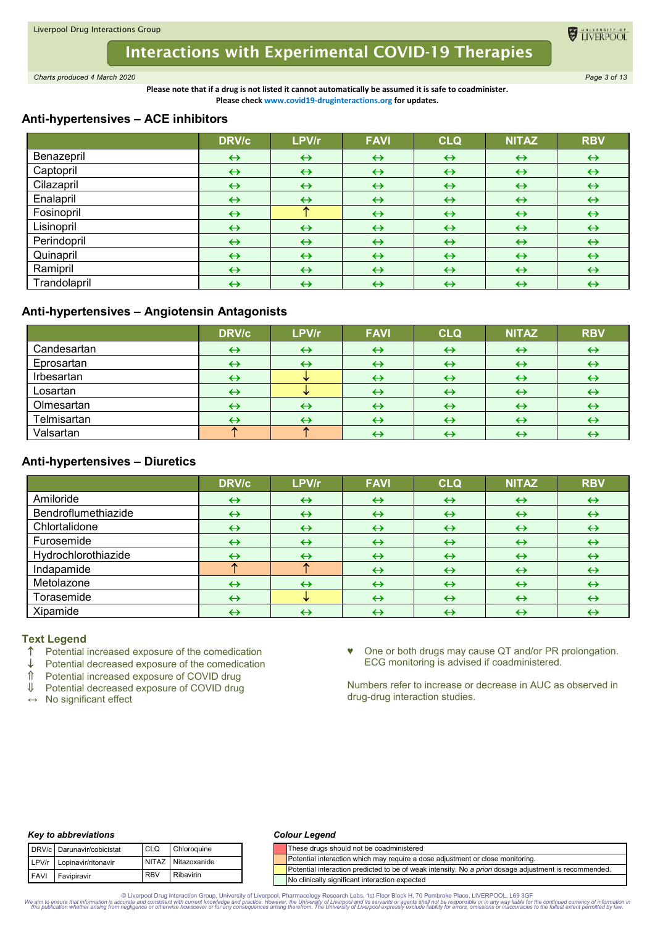

*Charts produced 4 March 2020 Page 3 of 13*

**Please note that if a drug is not listed it cannot automatically be assumed it is safe to coadminister. Please check www.covid19-druginteractions.org for updates.**

# **Anti-hypertensives – ACE inhibitors**

|              | <b>DRV/c</b>      | LPV/r             | <b>FAVI</b>       | <b>CLQ</b>        | <b>NITAZ</b>      | <b>RBV</b>        |
|--------------|-------------------|-------------------|-------------------|-------------------|-------------------|-------------------|
| Benazepril   | $\leftrightarrow$ | $\leftrightarrow$ | $\leftrightarrow$ | $\leftrightarrow$ | $\leftrightarrow$ | $\leftrightarrow$ |
| Captopril    | $\leftrightarrow$ | $\leftrightarrow$ | $\leftrightarrow$ | $\leftrightarrow$ | $\leftrightarrow$ | $\leftrightarrow$ |
| Cilazapril   | $\leftrightarrow$ | $\leftrightarrow$ | $\leftrightarrow$ | $\leftrightarrow$ | $\leftrightarrow$ | $\leftrightarrow$ |
| Enalapril    | $\leftrightarrow$ | $\leftrightarrow$ | $\leftrightarrow$ | $\leftrightarrow$ | $\leftrightarrow$ | $\leftrightarrow$ |
| Fosinopril   | $\leftrightarrow$ | ∽                 | $\leftrightarrow$ | $\leftrightarrow$ | $\leftrightarrow$ | $\leftrightarrow$ |
| Lisinopril   | $\leftrightarrow$ | $\leftrightarrow$ | $\leftrightarrow$ | $\leftrightarrow$ | $\leftrightarrow$ | $\leftrightarrow$ |
| Perindopril  | $\leftrightarrow$ | $\leftrightarrow$ | $\leftrightarrow$ | $\leftrightarrow$ | $\leftrightarrow$ | $\leftrightarrow$ |
| Quinapril    | $\leftrightarrow$ | $\leftrightarrow$ | $\leftrightarrow$ | $\leftrightarrow$ | $\leftrightarrow$ | $\leftrightarrow$ |
| Ramipril     | $\leftrightarrow$ | $\leftrightarrow$ | $\leftrightarrow$ | $\leftrightarrow$ | $\leftrightarrow$ | $\leftrightarrow$ |
| Trandolapril | $\leftrightarrow$ | $\leftrightarrow$ | $\leftrightarrow$ | $\leftrightarrow$ | $\leftrightarrow$ | $\leftrightarrow$ |

# **Anti-hypertensives – Angiotensin Antagonists**

|             | <b>DRV/c</b>      | LPV/r             | <b>FAVI</b>       | <b>CLQ</b>        | <b>NITAZ</b>      | <b>RBV</b>        |
|-------------|-------------------|-------------------|-------------------|-------------------|-------------------|-------------------|
| Candesartan | $\leftrightarrow$ | $\leftrightarrow$ | $\leftrightarrow$ | $\leftrightarrow$ | $\leftrightarrow$ | $\leftrightarrow$ |
| Eprosartan  | $\leftrightarrow$ | $\leftrightarrow$ | ↔                 | $\leftrightarrow$ | ↔                 | ↔                 |
| Irbesartan  | ↔                 |                   | $\leftrightarrow$ | $\leftrightarrow$ | $\leftrightarrow$ | $\leftrightarrow$ |
| Losartan    | ↔                 |                   | ↔                 | $\leftrightarrow$ | $\leftrightarrow$ | ↔                 |
| Olmesartan  | $\leftrightarrow$ | $\leftrightarrow$ | $\leftrightarrow$ | $\leftrightarrow$ | $\leftrightarrow$ | ↔                 |
| Telmisartan |                   | $\leftrightarrow$ | $\leftrightarrow$ | $\leftrightarrow$ | $\leftrightarrow$ | ↔                 |
| Valsartan   |                   |                   |                   | $\leftrightarrow$ | $\leftrightarrow$ | ↔                 |

# **Anti-hypertensives – Diuretics**

|                     | <b>DRV/c</b>      | LPV/r             | <b>FAVI</b>       | <b>CLQ</b>        | <b>NITAZ</b>      | <b>RBV</b>        |
|---------------------|-------------------|-------------------|-------------------|-------------------|-------------------|-------------------|
| Amiloride           | $\leftrightarrow$ | $\leftrightarrow$ | $\leftrightarrow$ | $\leftrightarrow$ | $\leftrightarrow$ | $\leftrightarrow$ |
| Bendroflumethiazide | $\leftrightarrow$ | $\leftrightarrow$ | $\leftrightarrow$ | $\leftrightarrow$ | $\leftrightarrow$ | $\leftrightarrow$ |
| Chlortalidone       | $\leftrightarrow$ | $\leftrightarrow$ | $\leftrightarrow$ | $\leftrightarrow$ | $\leftrightarrow$ | $\leftrightarrow$ |
| Furosemide          | $\leftrightarrow$ | $\leftrightarrow$ | $\leftrightarrow$ | $\leftrightarrow$ | $\leftrightarrow$ | $\leftrightarrow$ |
| Hydrochlorothiazide | $\leftrightarrow$ | $\leftrightarrow$ | $\leftrightarrow$ | $\leftrightarrow$ | $\leftrightarrow$ | $\leftrightarrow$ |
| Indapamide          |                   |                   | $\leftrightarrow$ | $\leftrightarrow$ | $\leftrightarrow$ | $\leftrightarrow$ |
| Metolazone          | $\leftrightarrow$ | $\leftrightarrow$ | $\leftrightarrow$ | $\leftrightarrow$ | $\leftrightarrow$ | $\leftrightarrow$ |
| Torasemide          | $\leftrightarrow$ |                   | $\leftrightarrow$ | $\leftrightarrow$ | $\leftrightarrow$ | $\leftrightarrow$ |
| Xipamide            | $\leftrightarrow$ | $\leftrightarrow$ | $\leftrightarrow$ | $\leftrightarrow$ | $\leftrightarrow$ | ↔                 |

# **Text Legend**

- $\uparrow$  Potential increased exposure of the comedication  $\downarrow$  Potential decreased exposure of the comedication
- $\downarrow$  Potential decreased exposure of the comedication<br>  $\uparrow$  Potential increased exposure of COVID drug
- $\hat{\parallel}$  Potential increased exposure of COVID drug<br>U Potential decreased exposure of COVID drug
- Potential decreased exposure of COVID drug
- **↔** No significant effect

♥ One or both drugs may cause QT and/or PR prolongation. ECG monitoring is advised if coadministered.

TIVERPOOL

Numbers refer to increase or decrease in AUC as observed in drug-drug interaction studies.

# *Key to abbreviations*

|             | DRV/c Darunavir/cobicistat | <b>CLO</b> | Chloroquine        |
|-------------|----------------------------|------------|--------------------|
|             | LPV/r Lopinavir/ritonavir  |            | NITAZ Nitazoxanide |
| <b>FAVI</b> | Favipiravir                | <b>RBV</b> | Ribavirin          |

### *Colour Legend*

|                                                                                | These drugs should not be coadministered                                                               |  |  |  |
|--------------------------------------------------------------------------------|--------------------------------------------------------------------------------------------------------|--|--|--|
| Potential interaction which may require a dose adjustment or close monitoring. |                                                                                                        |  |  |  |
|                                                                                | Potential interaction predicted to be of weak intensity. No a priori dosage adjustment is recommended. |  |  |  |
|                                                                                | No clinically significant interaction expected                                                         |  |  |  |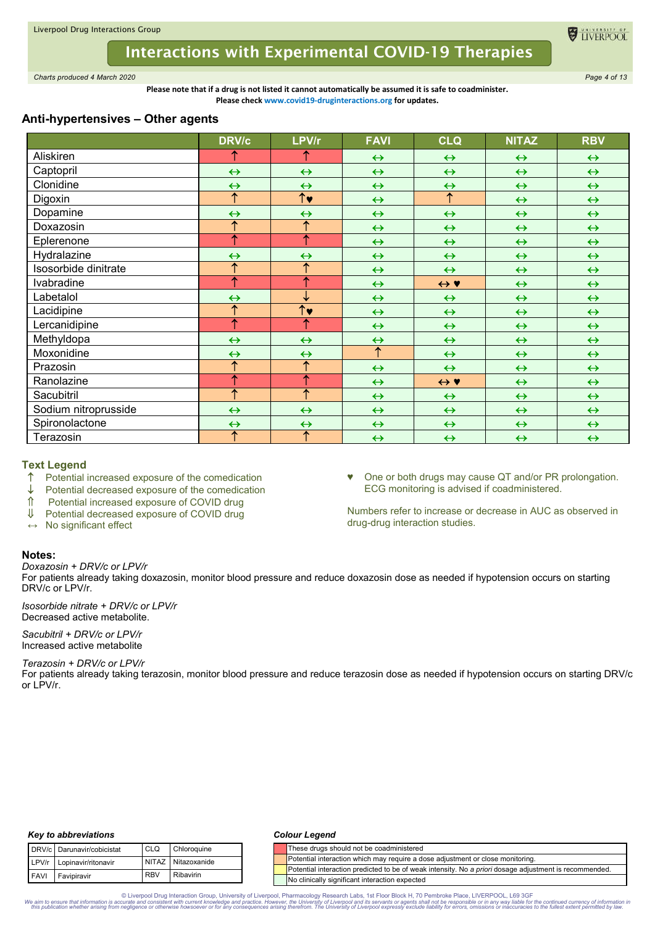

*Charts produced 4 March 2020 Page 4 of 13*

**Please note that if a drug is not listed it cannot automatically be assumed it is safe to coadminister. Please check www.covid19-druginteractions.org for updates.**

# **Anti-hypertensives – Other agents**

|                      | <b>DRV/c</b>             | LPV/r                           | <b>FAVI</b>       | <b>CLQ</b>                | <b>NITAZ</b>      | <b>RBV</b>        |
|----------------------|--------------------------|---------------------------------|-------------------|---------------------------|-------------------|-------------------|
| Aliskiren            |                          | ↑                               | $\leftrightarrow$ | $\leftrightarrow$         | $\leftrightarrow$ | $\leftrightarrow$ |
| Captopril            | $\leftrightarrow$        | $\leftrightarrow$               | $\leftrightarrow$ | $\leftrightarrow$         | $\leftrightarrow$ | $\leftrightarrow$ |
| Clonidine            | $\leftrightarrow$        | $\leftrightarrow$               | $\leftrightarrow$ | $\leftrightarrow$         | $\leftrightarrow$ | $\leftrightarrow$ |
| Digoxin              | $\uparrow$               | $\overline{\uparrow\downarrow}$ | $\leftrightarrow$ | $\overline{\uparrow}$     | $\leftrightarrow$ | $\leftrightarrow$ |
| Dopamine             | $\leftrightarrow$        | $\leftrightarrow$               | $\leftrightarrow$ | $\leftrightarrow$         | $\leftrightarrow$ | $\leftrightarrow$ |
| Doxazosin            | $\overline{\uparrow}$    | $\overline{\uparrow}$           | $\leftrightarrow$ | $\leftrightarrow$         | $\leftrightarrow$ | $\leftrightarrow$ |
| Eplerenone           | ↑                        | $\overline{\uparrow}$           | $\leftrightarrow$ | $\leftrightarrow$         | $\leftrightarrow$ | $\leftrightarrow$ |
| Hydralazine          | $\leftrightarrow$        | $\leftrightarrow$               | $\leftrightarrow$ | $\leftrightarrow$         | $\leftrightarrow$ | $\leftrightarrow$ |
| Isosorbide dinitrate | $\overline{\uparrow}$    | ↑                               | $\leftrightarrow$ | $\leftrightarrow$         | $\leftrightarrow$ | $\leftrightarrow$ |
| Ivabradine           | $\overline{\uparrow}$    | ↑                               | $\leftrightarrow$ | $\leftrightarrow \bullet$ | $\leftrightarrow$ | $\leftrightarrow$ |
| Labetalol            | $\leftrightarrow$        | ↓                               | $\leftrightarrow$ | $\leftrightarrow$         | $\leftrightarrow$ | $\leftrightarrow$ |
| Lacidipine           | ↑                        | $\overline{\uparrow}$           | $\leftrightarrow$ | $\leftrightarrow$         | $\leftrightarrow$ | $\leftrightarrow$ |
| Lercanidipine        | ↑                        | ↑                               | $\leftrightarrow$ | $\leftrightarrow$         | $\leftrightarrow$ | $\leftrightarrow$ |
| Methyldopa           | $\leftrightarrow$        | $\leftrightarrow$               | $\leftrightarrow$ | $\leftrightarrow$         | $\leftrightarrow$ | $\leftrightarrow$ |
| Moxonidine           | $\leftrightarrow$        | $\leftrightarrow$               | ↑                 | $\leftrightarrow$         | $\leftrightarrow$ | $\leftrightarrow$ |
| Prazosin             | ↑                        | ↑                               | $\leftrightarrow$ | $\leftrightarrow$         | $\leftrightarrow$ | $\leftrightarrow$ |
| Ranolazine           | 个                        | ↑                               | $\leftrightarrow$ | $\leftrightarrow \bullet$ | $\leftrightarrow$ | $\leftrightarrow$ |
| Sacubitril           | $\overline{\phantom{a}}$ | $\overline{\uparrow}$           | $\leftrightarrow$ | $\leftrightarrow$         | $\leftrightarrow$ | $\leftrightarrow$ |
| Sodium nitroprusside | $\leftrightarrow$        | $\leftrightarrow$               | $\leftrightarrow$ | $\leftrightarrow$         | $\leftrightarrow$ | $\leftrightarrow$ |
| Spironolactone       | $\leftrightarrow$        | $\leftrightarrow$               | $\leftrightarrow$ | $\leftrightarrow$         | $\leftrightarrow$ | $\leftrightarrow$ |
| Terazosin            | ሳ                        | $\overline{\uparrow}$           | $\leftrightarrow$ | $\leftrightarrow$         | $\leftrightarrow$ | $\leftrightarrow$ |

# **Text Legend**

- $\uparrow$  Potential increased exposure of the comedication
- $\downarrow$  Potential decreased exposure of the comedication  $\hat{\parallel}$  Potential increased exposure of COVID drug
- $\hat{\parallel}$  Potential increased exposure of COVID drug<br>U Potential decreased exposure of COVID drug
- Potential decreased exposure of COVID drug
- **↔** No significant effect

# **Notes:**

*Doxazosin + DRV/c or LPV/r*

For patients already taking doxazosin, monitor blood pressure and reduce doxazosin dose as needed if hypotension occurs on starting DRV/c or LPV/r.

*Isosorbide nitrate + DRV/c or LPV/r* Decreased active metabolite.

*Sacubitril + DRV/c or LPV/r* Increased active metabolite

*Terazosin + DRV/c or LPV/r*

For patients already taking terazosin, monitor blood pressure and reduce terazosin dose as needed if hypotension occurs on starting DRV/c or LPV/r.

# *Key to abbreviations*

|      | DRV/c Darunavir/cobicistat | <b>CLO</b> | Chloroquine        |
|------|----------------------------|------------|--------------------|
|      | LPV/r Lopinavir/ritonavir  |            | NITAZ Nitazoxanide |
| FAVI | Favipiravir                | <b>RBV</b> | Ribavirin          |

### *Colour Legend*

|                                                                                     |  |  | These drugs should not be coadministered                                                                      |  |
|-------------------------------------------------------------------------------------|--|--|---------------------------------------------------------------------------------------------------------------|--|
| Potential interaction which may require a dose adjustment or close monitoring.<br>e |  |  |                                                                                                               |  |
|                                                                                     |  |  | Potential interaction predicted to be of weak intensity. No a <i>priori</i> dosage adiustment is recommended. |  |
|                                                                                     |  |  | No clinically significant interaction expected                                                                |  |

© Liverpool Drug Interaction Group, University of Liverpool, Pharmacology Research Labs, 1st Floor Block H, 70 Pembroke Place, LIVERPOOL, L69 3GF the continued currency of information in Super and the University of Liverpo

- ♥ One or both drugs may cause QT and/or PR prolongation.
- ECG monitoring is advised if coadministered.

Numbers refer to increase or decrease in AUC as observed in drug-drug interaction studies.

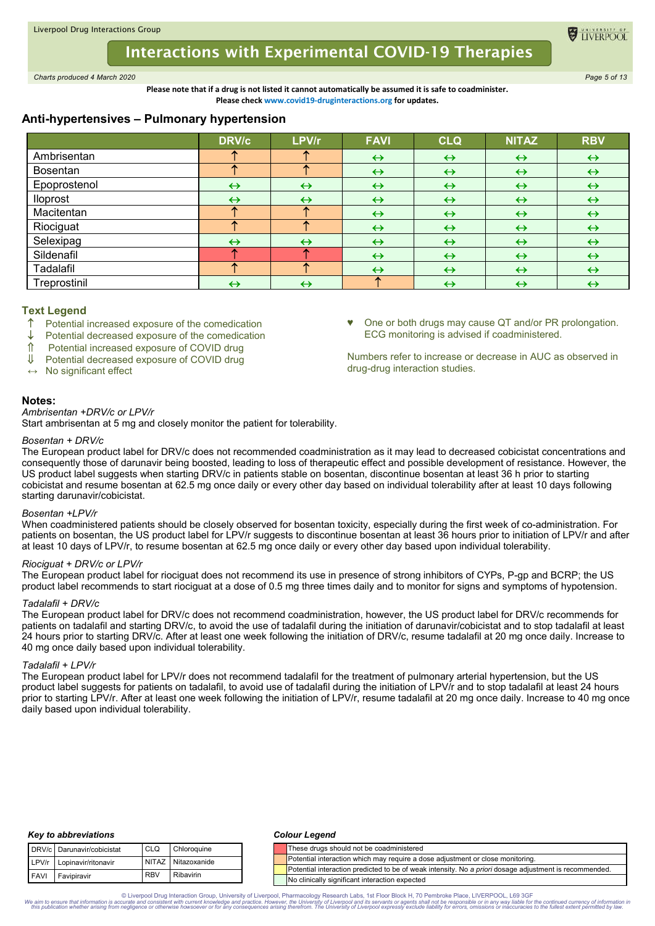# **Interactions with Experimental COVID-19 Therapies**

*Charts produced 4 March 2020 Page 5 of 13*

**Please note that if a drug is not listed it cannot automatically be assumed it is safe to coadminister. Please check www.covid19-druginteractions.org for updates.**

# **Anti-hypertensives – Pulmonary hypertension**

|              | <b>DRV/c</b>      | LPV/r             | <b>FAVI</b>       | <b>CLQ</b>        | <b>NITAZ</b>      | <b>RBV</b>        |
|--------------|-------------------|-------------------|-------------------|-------------------|-------------------|-------------------|
| Ambrisentan  |                   |                   | $\leftrightarrow$ | $\leftrightarrow$ | $\leftrightarrow$ | $\leftrightarrow$ |
| Bosentan     |                   | 灬                 | $\leftrightarrow$ | $\leftrightarrow$ | $\leftrightarrow$ | $\leftrightarrow$ |
| Epoprostenol | $\leftrightarrow$ | $\leftrightarrow$ | $\leftrightarrow$ | $\leftrightarrow$ | $\leftrightarrow$ | $\leftrightarrow$ |
| lloprost     | $\leftrightarrow$ | $\leftrightarrow$ | $\leftrightarrow$ | $\leftrightarrow$ | $\leftrightarrow$ | $\leftrightarrow$ |
| Macitentan   |                   | m                 | $\leftrightarrow$ | $\leftrightarrow$ | $\leftrightarrow$ | $\leftrightarrow$ |
| Riociguat    |                   |                   | $\leftrightarrow$ | $\leftrightarrow$ | $\leftrightarrow$ | $\leftrightarrow$ |
| Selexipag    | $\leftrightarrow$ | $\leftrightarrow$ | $\leftrightarrow$ | $\leftrightarrow$ | $\leftrightarrow$ | $\leftrightarrow$ |
| Sildenafil   |                   |                   | $\leftrightarrow$ | $\leftrightarrow$ | $\leftrightarrow$ | $\leftrightarrow$ |
| Tadalafil    |                   |                   | $\leftrightarrow$ | $\leftrightarrow$ | $\leftrightarrow$ | $\leftrightarrow$ |
| Treprostinil | $\leftrightarrow$ | $\leftrightarrow$ | 灬                 | $\leftrightarrow$ | $\leftrightarrow$ | $\leftrightarrow$ |

### **Text Legend**

- Potential increased exposure of the comedication
- Potential decreased exposure of the comedication
- Potential increased exposure of COVID drug
- Potential decreased exposure of COVID drug
- **↔** No significant effect

### **Notes:**

# *Ambrisentan +DRV/c or LPV/r*

Start ambrisentan at 5 mg and closely monitor the patient for tolerability.

#### *Bosentan + DRV/c*

The European product label for DRV/c does not recommended coadministration as it may lead to decreased cobicistat concentrations and consequently those of darunavir being boosted, leading to loss of therapeutic effect and possible development of resistance. However, the US product label suggests when starting DRV/c in patients stable on bosentan, discontinue bosentan at least 36 h prior to starting cobicistat and resume bosentan at 62.5 mg once daily or every other day based on individual tolerability after at least 10 days following starting darunavir/cobicistat.

#### *Bosentan +LPV/r*

When coadministered patients should be closely observed for bosentan toxicity, especially during the first week of co-administration. For patients on bosentan, the US product label for LPV/r suggests to discontinue bosentan at least 36 hours prior to initiation of LPV/r and after at least 10 days of LPV/r, to resume bosentan at 62.5 mg once daily or every other day based upon individual tolerability.

# *Riociguat + DRV/c or LPV/r*

The European product label for riociguat does not recommend its use in presence of strong inhibitors of CYPs, P-gp and BCRP; the US product label recommends to start riociguat at a dose of 0.5 mg three times daily and to monitor for signs and symptoms of hypotension.

#### *Tadalafil + DRV/c*

The European product label for DRV/c does not recommend coadministration, however, the US product label for DRV/c recommends for patients on tadalafil and starting DRV/c, to avoid the use of tadalafil during the initiation of darunavir/cobicistat and to stop tadalafil at least 24 hours prior to starting DRV/c. After at least one week following the initiation of DRV/c, resume tadalafil at 20 mg once daily. Increase to 40 mg once daily based upon individual tolerability.

#### *Tadalafil + LPV/r*

The European product label for LPV/r does not recommend tadalafil for the treatment of pulmonary arterial hypertension, but the US product label suggests for patients on tadalafil, to avoid use of tadalafil during the initiation of LPV/r and to stop tadalafil at least 24 hours prior to starting LPV/r. After at least one week following the initiation of LPV/r, resume tadalafil at 20 mg once daily. Increase to 40 mg once daily based upon individual tolerability.

### *Key to abbreviations*

|             | DRV/c Darunavir/cobicistat | CLO <sub>1</sub> | Chloroquine        |
|-------------|----------------------------|------------------|--------------------|
|             | LPV/r Lopinavir/ritonavir  |                  | NITAZ Nitazoxanide |
| <b>FAVI</b> | Favipiravir                | <b>RBV</b>       | Ribavirin          |

#### *Colour Legend*

| runavir/cobicistat                         | CLQ        | Chloroquine |                                                                                | These drugs should not be coadministered                                                                      |  |
|--------------------------------------------|------------|-------------|--------------------------------------------------------------------------------|---------------------------------------------------------------------------------------------------------------|--|
| NITAZ<br>Nitazoxanide<br>pinavir/ritonavir |            |             | Potential interaction which may require a dose adjustment or close monitoring. |                                                                                                               |  |
|                                            |            |             |                                                                                | Potential interaction predicted to be of weak intensity. No a <i>priori</i> dosage adjustment is recommended. |  |
| vipiravir                                  | <b>RBV</b> | Ribavirin   |                                                                                | No clinically significant interaction expected                                                                |  |

© Liverpool Drug Interaction Group, University of Liverpool, Pharmacology Research Labs, 1st Floor Block H, 70 Pembroke Place, LIVERPOOL, L69 3GF the continued currency of information in Super and the University of Liverpo

♥ One or both drugs may cause QT and/or PR prolongation. ECG monitoring is advised if coadministered.

Numbers refer to increase or decrease in AUC as observed in drug-drug interaction studies.

**EL TIVERPO**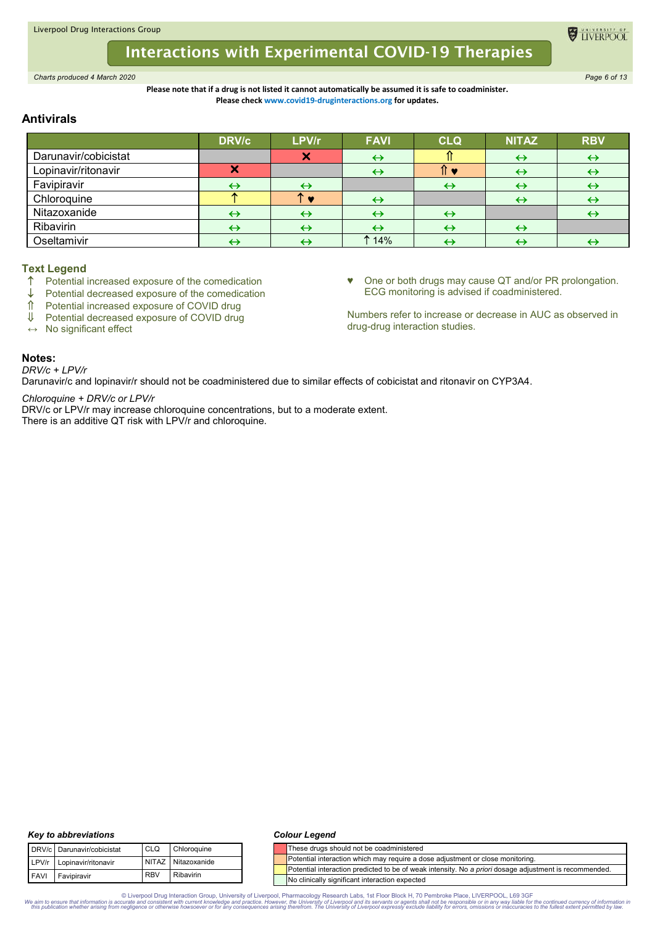# **Interactions with Experimental COVID-19 Therapies**

*Charts produced 4 March 2020 Page 6 of 13*

# **Please note that if a drug is not listed it cannot automatically be assumed it is safe to coadminister. Please check www.covid19-druginteractions.org for updates.**

# **Antivirals**

|                      | <b>DRV/c</b> | LPV/r                     | <b>FAVI</b>       | <b>CLQ</b>        | <b>NITAZ</b>      | <b>RBV</b>        |
|----------------------|--------------|---------------------------|-------------------|-------------------|-------------------|-------------------|
| Darunavir/cobicistat |              | $\boldsymbol{\mathsf{x}}$ |                   |                   | $\leftrightarrow$ | $\leftrightarrow$ |
| Lopinavir/ritonavir  |              |                           |                   |                   | $\leftrightarrow$ | ↔                 |
| Favipiravir          | ↔            | $\leftrightarrow$         |                   | $\leftrightarrow$ | ↔                 | $\leftrightarrow$ |
| Chloroquine          |              |                           | $\leftrightarrow$ |                   | $\leftrightarrow$ | ↔                 |
| Nitazoxanide         |              | $\leftrightarrow$         |                   | $\leftrightarrow$ |                   |                   |
| Ribavirin            |              | $\leftrightarrow$         |                   | $\leftrightarrow$ | ↔                 |                   |
| Oseltamivir          |              |                           | 14%               | ↔                 |                   |                   |

# **Text Legend**

- Potential increased exposure of the comedication
- $\downarrow$  Potential decreased exposure of the comedication  $\uparrow$  Potential increased exposure of COVID drug
- $\hat{\parallel}$  Potential increased exposure of COVID drug<br> $\parallel$  Potential decreased exposure of COVID drug
- Potential decreased exposure of COVID drug

**↔** No significant effect

♥ One or both drugs may cause QT and/or PR prolongation. ECG monitoring is advised if coadministered.

Numbers refer to increase or decrease in AUC as observed in drug-drug interaction studies.

# **Notes:**

*DRV/c + LPV/r*

Darunavir/c and lopinavir/r should not be coadministered due to similar effects of cobicistat and ritonavir on CYP3A4.

*Chloroquine + DRV/c or LPV/r*

DRV/c or LPV/r may increase chloroquine concentrations, but to a moderate extent. There is an additive QT risk with LPV/r and chloroquine.

#### *Key to abbreviations*

|  | DRV/c Darunavir/cobicistat | <b>CLO</b> | Chloroquine        |
|--|----------------------------|------------|--------------------|
|  | LPV/r Lopinavir/ritonavir  |            | NITAZ Nitazoxanide |
|  | FAVI Favipiravir           | <b>RBV</b> | <b>Ribavirin</b>   |

### *Colour Legend*

|  | These drugs should not be coadministered                                                               |
|--|--------------------------------------------------------------------------------------------------------|
|  | Potential interaction which may require a dose adjustment or close monitoring.                         |
|  | Potential interaction predicted to be of weak intensity. No a priori dosage adjustment is recommended. |
|  | No clinically significant interaction expected                                                         |

© Liverpool Drug Interaction Group, University of Liverpool, Pharmacology Research Labs, 1st Floor Block H, 70 Pembroke Place, LIVERPOOL, L69 3GF the continued currency of information in Super and the University of Liverpo

**EL TIVERPOO**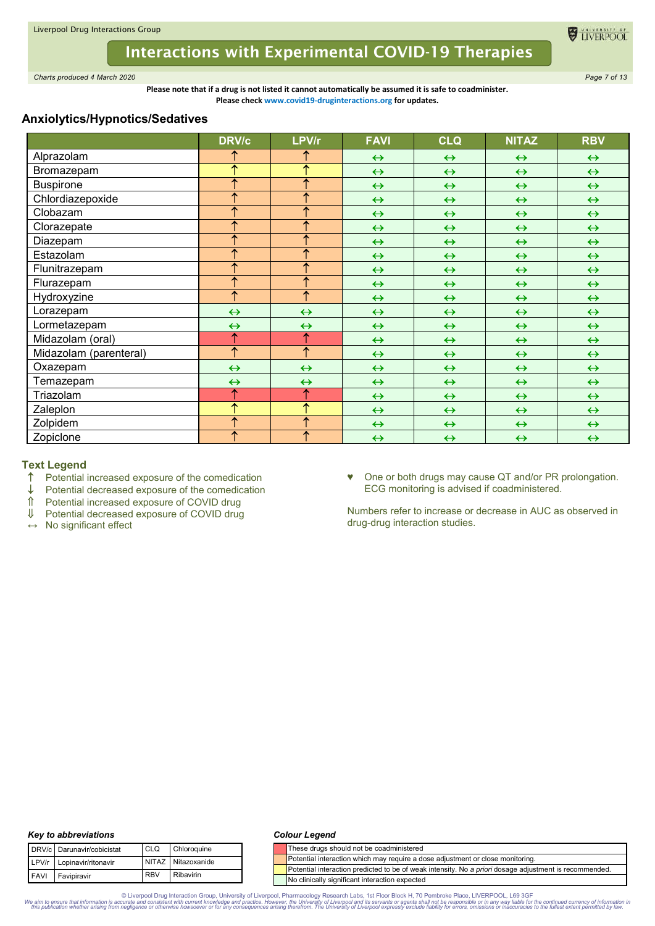

*Charts produced 4 March 2020 Page 7 of 13*

**Please note that if a drug is not listed it cannot automatically be assumed it is safe to coadminister. Please check www.covid19-druginteractions.org for updates.**

# **Anxiolytics/Hypnotics/Sedatives**

|                        | <b>DRV/c</b>      | LPV/r                   | <b>FAVI</b>       | <b>CLQ</b>        | <b>NITAZ</b>      | <b>RBV</b>        |
|------------------------|-------------------|-------------------------|-------------------|-------------------|-------------------|-------------------|
| Alprazolam             |                   |                         | $\leftrightarrow$ | $\leftrightarrow$ | $\leftrightarrow$ | $\leftrightarrow$ |
| Bromazepam             | ↑                 | ↑                       | $\leftrightarrow$ | $\leftrightarrow$ | $\leftrightarrow$ | $\leftrightarrow$ |
| <b>Buspirone</b>       | ↑                 | $\overline{\textbf{f}}$ | $\leftrightarrow$ | $\leftrightarrow$ | $\leftrightarrow$ | $\leftrightarrow$ |
| Chlordiazepoxide       | ∧                 | ↑                       | $\leftrightarrow$ | $\leftrightarrow$ | $\leftrightarrow$ | $\leftrightarrow$ |
| Clobazam               | ↑                 | 个                       | $\leftrightarrow$ | $\leftrightarrow$ | $\leftrightarrow$ | $\leftrightarrow$ |
| Clorazepate            | ተ                 | ተ                       | $\leftrightarrow$ | $\leftrightarrow$ | $\leftrightarrow$ | $\leftrightarrow$ |
| Diazepam               | ∧                 | ↑                       | $\leftrightarrow$ | $\leftrightarrow$ | $\leftrightarrow$ | $\leftrightarrow$ |
| Estazolam              | ተ                 | 个                       | $\leftrightarrow$ | $\leftrightarrow$ | $\leftrightarrow$ | $\leftrightarrow$ |
| Flunitrazepam          | ↑                 | ↑                       | $\leftrightarrow$ | $\leftrightarrow$ | $\leftrightarrow$ | $\leftrightarrow$ |
| Flurazepam             | ↑                 | ↑                       | $\leftrightarrow$ | $\leftrightarrow$ | $\leftrightarrow$ | $\leftrightarrow$ |
| Hydroxyzine            | ↑                 | 个                       | $\leftrightarrow$ | $\leftrightarrow$ | $\leftrightarrow$ | $\leftrightarrow$ |
| Lorazepam              | $\leftrightarrow$ | $\leftrightarrow$       | $\leftrightarrow$ | $\leftrightarrow$ | $\leftrightarrow$ | $\leftrightarrow$ |
| Lormetazepam           | $\leftrightarrow$ | $\leftrightarrow$       | $\leftrightarrow$ | $\leftrightarrow$ | $\leftrightarrow$ | $\leftrightarrow$ |
| Midazolam (oral)       | ↑                 | ↑                       | $\leftrightarrow$ | $\leftrightarrow$ | $\leftrightarrow$ | $\leftrightarrow$ |
| Midazolam (parenteral) | $\uparrow$        | ↑                       | $\leftrightarrow$ | $\leftrightarrow$ | $\leftrightarrow$ | $\leftrightarrow$ |
| Oxazepam               | $\leftrightarrow$ | $\leftrightarrow$       | $\leftrightarrow$ | $\leftrightarrow$ | $\leftrightarrow$ | $\leftrightarrow$ |
| Temazepam              | $\leftrightarrow$ | $\leftrightarrow$       | $\leftrightarrow$ | $\leftrightarrow$ | $\leftrightarrow$ | $\leftrightarrow$ |
| Triazolam              | ↑                 | ↑                       | $\leftrightarrow$ | $\leftrightarrow$ | $\leftrightarrow$ | $\leftrightarrow$ |
| Zaleplon               | ↑                 | ↑                       | $\leftrightarrow$ | $\leftrightarrow$ | $\leftrightarrow$ | $\leftrightarrow$ |
| Zolpidem               | ↑                 | ↑                       | $\leftrightarrow$ | $\leftrightarrow$ | $\leftrightarrow$ | $\leftrightarrow$ |
| Zopiclone              | ↑                 | ↑                       | $\leftrightarrow$ | $\leftrightarrow$ | $\leftrightarrow$ | $\leftrightarrow$ |

# **Text Legend**

- $\uparrow$  Potential increased exposure of the comedication  $\downarrow$  Potential decreased exposure of the comedication
- $\downarrow$  Potential decreased exposure of the comedication  $\uparrow$  Potential increased exposure of COVID drug
- $\hat{\parallel}$  Potential increased exposure of COVID drug<br>U Potential decreased exposure of COVID drug
- $\downarrow$  Potential decreased exposure of COVID drug<br>  $\leftrightarrow$  No significant effect
- **↔** No significant effect

♥ One or both drugs may cause QT and/or PR prolongation. ECG monitoring is advised if coadministered.

TIVERPOOL

Numbers refer to increase or decrease in AUC as observed in drug-drug interaction studies.

# *Key to abbreviations*

|             | DRV/c Darunavir/cobicistat | CLO        | Chloroquine        |
|-------------|----------------------------|------------|--------------------|
|             | LPV/r Lopinavir/ritonavir  |            | NITAZ Nitazoxanide |
| <b>FAVI</b> | Favipiravir                | <b>RBV</b> | <b>Ribavirin</b>   |

### *Colour Legend*

|  | These drugs should not be coadministered                                                               |
|--|--------------------------------------------------------------------------------------------------------|
|  | Potential interaction which may require a dose adjustment or close monitoring.                         |
|  | Potential interaction predicted to be of weak intensity. No a priori dosage adjustment is recommended. |
|  | No clinically significant interaction expected                                                         |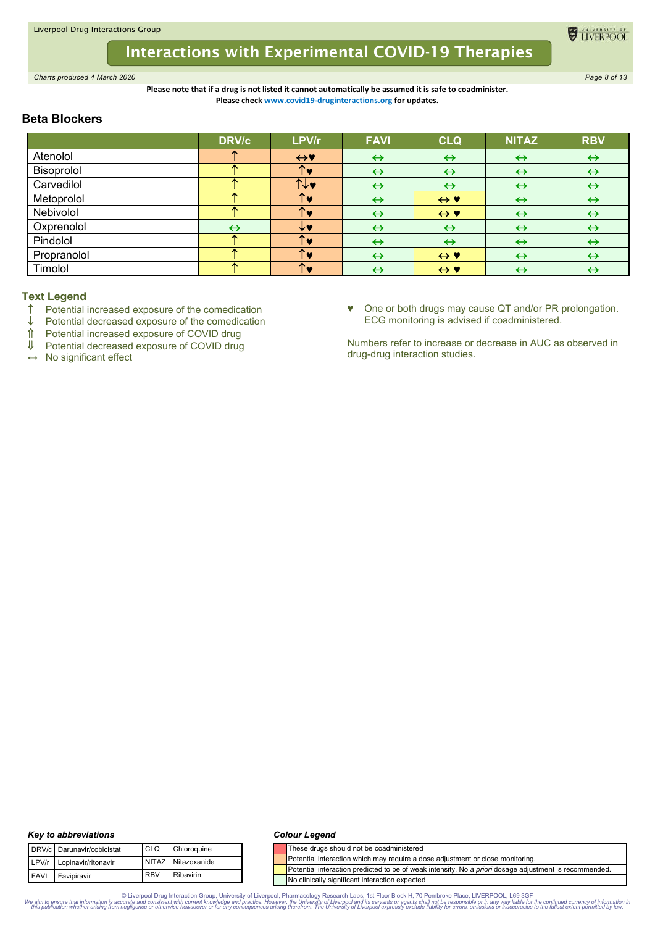

*Charts produced 4 March 2020 Page 8 of 13*

**Please note that if a drug is not listed it cannot automatically be assumed it is safe to coadminister. Please check www.covid19-druginteractions.org for updates.**

# **Beta Blockers**

|             | <b>DRV/c</b>      | LPV/r             | <b>FAVI</b>       | <b>CLQ</b>          | <b>NITAZ</b>      | <b>RBV</b>        |
|-------------|-------------------|-------------------|-------------------|---------------------|-------------------|-------------------|
| Atenolol    |                   | $\leftrightarrow$ | $\leftrightarrow$ | $\leftrightarrow$   | $\leftrightarrow$ | $\leftrightarrow$ |
| Bisoprolol  |                   | $\mathbf{T}$      | $\leftrightarrow$ | $\leftrightarrow$   | $\leftrightarrow$ | $\leftrightarrow$ |
| Carvedilol  |                   | 11.4              | $\leftrightarrow$ | $\leftrightarrow$   | $\leftrightarrow$ | $\leftrightarrow$ |
| Metoprolol  |                   | 个                 | $\leftrightarrow$ | $\leftrightarrow$ Y | $\leftrightarrow$ | $\leftrightarrow$ |
| Nebivolol   |                   | $\uparrow$        | $\leftrightarrow$ | $\leftrightarrow$ Y | $\leftrightarrow$ | $\leftrightarrow$ |
| Oxprenolol  | $\leftrightarrow$ |                   | $\leftrightarrow$ | $\leftrightarrow$   | $\leftrightarrow$ | $\leftrightarrow$ |
| Pindolol    |                   |                   | $\leftrightarrow$ | $\leftrightarrow$   | $\leftrightarrow$ | $\leftrightarrow$ |
| Propranolol |                   | ́                 | $\leftrightarrow$ | $\leftrightarrow$ Y | $\leftrightarrow$ | $\leftrightarrow$ |
| Timolol     |                   | $\mathbf{T}$      | $\leftrightarrow$ | $\leftrightarrow$ Y | $\leftrightarrow$ | $\leftrightarrow$ |

# **Text Legend**

- $\uparrow$  Potential increased exposure of the comedication  $\downarrow$  Potential decreased exposure of the comedication
- $\downarrow$  Potential decreased exposure of the comedication<br>  $\uparrow$  Potential increased exposure of COVID drug
- ↑ Potential increased exposure of COVID drug<br>Ⅱ Potential decreased exposure of COVID drug
- Potential decreased exposure of COVID drug

**↔** No significant effect

♥ One or both drugs may cause QT and/or PR prolongation. ECG monitoring is advised if coadministered.

TIVERPOOL

Numbers refer to increase or decrease in AUC as observed in drug-drug interaction studies.

# *Key to abbreviations*

|  | DRV/c Darunavir/cobicistat | <b>CLO</b> | Chloroquine        |  |  |
|--|----------------------------|------------|--------------------|--|--|
|  | LPV/r Lopinavir/ritonavir  |            | NITAZ Nitazoxanide |  |  |
|  | FAVI Favipiravir           | <b>RBV</b> | <b>Ribavirin</b>   |  |  |

### *Colour Legend*

|  | These drugs should not be coadministered                                                               |
|--|--------------------------------------------------------------------------------------------------------|
|  | Potential interaction which may require a dose adjustment or close monitoring.                         |
|  | Potential interaction predicted to be of weak intensity. No a priori dosage adjustment is recommended. |
|  | No clinically significant interaction expected                                                         |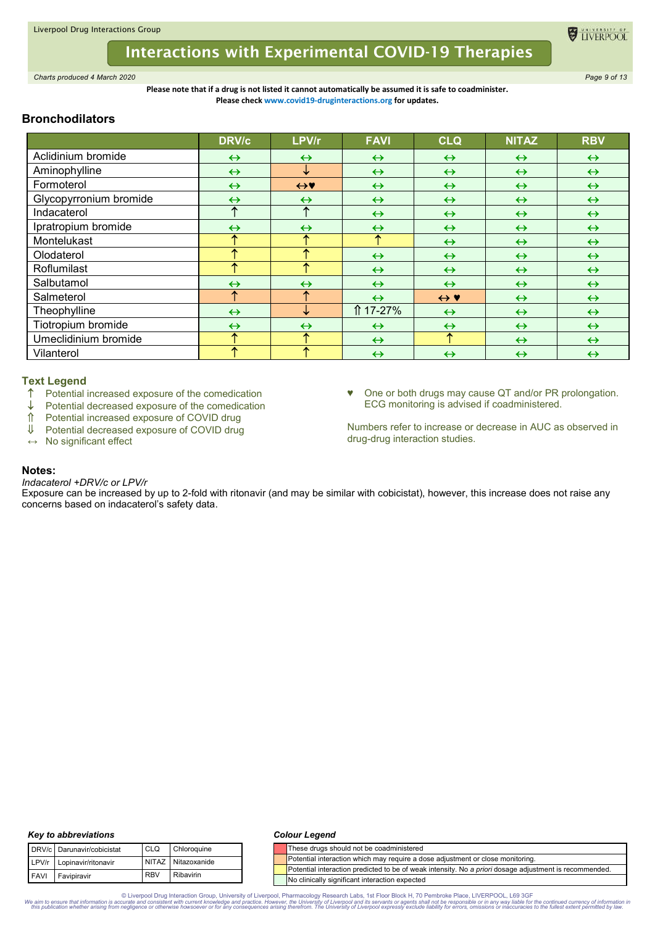

*Charts produced 4 March 2020 Page 9 of 13*

**Please note that if a drug is not listed it cannot automatically be assumed it is safe to coadminister. Please check www.covid19-druginteractions.org for updates.**

# **Bronchodilators**

|                        | <b>DRV/c</b>      | LPV/r             | <b>FAVI</b>       | <b>CLQ</b>          | <b>NITAZ</b>      | <b>RBV</b>        |
|------------------------|-------------------|-------------------|-------------------|---------------------|-------------------|-------------------|
| Aclidinium bromide     | $\leftrightarrow$ | $\leftrightarrow$ | $\leftrightarrow$ | $\leftrightarrow$   | $\leftrightarrow$ | $\leftrightarrow$ |
| Aminophylline          | $\leftrightarrow$ | ↓                 | $\leftrightarrow$ | $\leftrightarrow$   | $\leftrightarrow$ | $\leftrightarrow$ |
| Formoterol             | $\leftrightarrow$ | $\leftrightarrow$ | $\leftrightarrow$ | $\leftrightarrow$   | $\leftrightarrow$ | $\leftrightarrow$ |
| Glycopyrronium bromide | $\leftrightarrow$ | $\leftrightarrow$ | $\leftrightarrow$ | $\leftrightarrow$   | $\leftrightarrow$ | $\leftrightarrow$ |
| Indacaterol            | ᠰ                 | ᠰ                 | $\leftrightarrow$ | $\leftrightarrow$   | $\leftrightarrow$ | $\leftrightarrow$ |
| Ipratropium bromide    | $\leftrightarrow$ | $\leftrightarrow$ | $\leftrightarrow$ | $\leftrightarrow$   | $\leftrightarrow$ | $\leftrightarrow$ |
| Montelukast            |                   | ᠰ                 | ᠰ                 | $\leftrightarrow$   | $\leftrightarrow$ | $\leftrightarrow$ |
| Olodaterol             |                   | ₳                 | $\leftrightarrow$ | $\leftrightarrow$   | $\leftrightarrow$ | $\leftrightarrow$ |
| Roflumilast            |                   | ́                 | $\leftrightarrow$ | $\leftrightarrow$   | $\leftrightarrow$ | $\leftrightarrow$ |
| Salbutamol             | $\leftrightarrow$ | $\leftrightarrow$ | $\leftrightarrow$ | $\leftrightarrow$   | $\leftrightarrow$ | $\leftrightarrow$ |
| Salmeterol             | ↑                 | ᠰ                 | $\leftrightarrow$ | $\leftrightarrow$ Y | $\leftrightarrow$ | $\leftrightarrow$ |
| Theophylline           | $\leftrightarrow$ | ↓                 | 117-27%           | $\leftrightarrow$   | $\leftrightarrow$ | $\leftrightarrow$ |
| Tiotropium bromide     | $\leftrightarrow$ | $\leftrightarrow$ | $\leftrightarrow$ | $\leftrightarrow$   | $\leftrightarrow$ | $\leftrightarrow$ |
| Umeclidinium bromide   |                   | ᠰ                 | $\leftrightarrow$ | ↑                   | $\leftrightarrow$ | $\leftrightarrow$ |
| Vilanterol             |                   | ᠰ                 | $\leftrightarrow$ | $\leftrightarrow$   | $\leftrightarrow$ | $\leftrightarrow$ |

# **Text Legend**

- ↑ Potential increased exposure of the comedication<br>↓ Potential decreased exposure of the comedication
- $\downarrow$  Potential decreased exposure of the comedication<br>  $\uparrow$  Potential increased exposure of COVID drug
- ↑ Potential increased exposure of COVID drug<br>↓ Potential decreased exposure of COVID drug
- Potential decreased exposure of COVID drug
- **↔** No significant effect

♥ One or both drugs may cause QT and/or PR prolongation. ECG monitoring is advised if coadministered.

Numbers refer to increase or decrease in AUC as observed in drug-drug interaction studies.

# **Notes:**

*Indacaterol +DRV/c or LPV/r*

Exposure can be increased by up to 2-fold with ritonavir (and may be similar with cobicistat), however, this increase does not raise any concerns based on indacaterol's safety data.

# *Key to abbreviations*

|             | DRV/c Darunavir/cobicistat | <b>CLO</b> | Chloroquine        |
|-------------|----------------------------|------------|--------------------|
|             | LPV/r Lopinavir/ritonavir  |            | NITAZ Nitazoxanide |
| <b>FAVI</b> | Favipiravir                | <b>RBV</b> | Ribavirin          |

### *Colour Legend*

|  | These drugs should not be coadministered                                                               |
|--|--------------------------------------------------------------------------------------------------------|
|  | Potential interaction which may require a dose adjustment or close monitoring.                         |
|  | Potential interaction predicted to be of weak intensity. No a priori dosage adjustment is recommended. |
|  | No clinically significant interaction expected                                                         |

© Liverpool Drug Interaction Group, University of Liverpool, Pharmacology Research Labs, 1st Floor Block H, 70 Pembroke Place, LIVERPOOL, L69 3GF the continued currency of information in Super and the University of Liverpo

**EL TIVERPOO**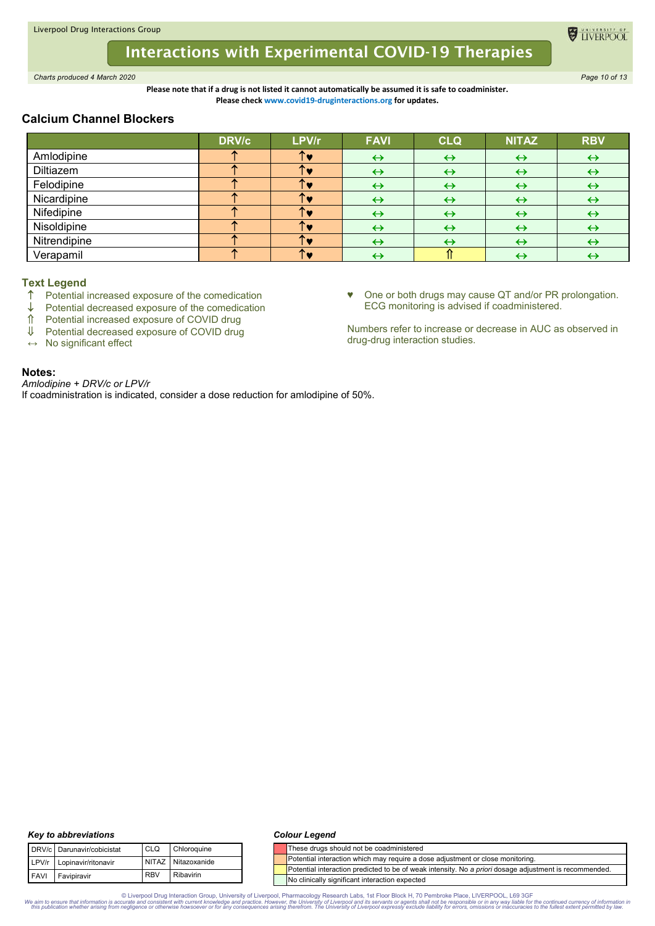

*Charts produced 4 March 2020 Page 10 of 13*

**Please note that if a drug is not listed it cannot automatically be assumed it is safe to coadminister. Please check www.covid19-druginteractions.org for updates.**

# **Calcium Channel Blockers**

|              | <b>DRV/c</b> | LPV/r | <b>FAVI</b>       | <b>CLQ</b>        | <b>NITAZ</b>      | <b>RBV</b>        |
|--------------|--------------|-------|-------------------|-------------------|-------------------|-------------------|
| Amlodipine   |              |       | ↔                 | $\leftrightarrow$ | $\leftrightarrow$ | $\leftrightarrow$ |
| Diltiazem    |              |       | $\leftrightarrow$ | $\leftrightarrow$ | ↔                 | ↔                 |
| Felodipine   |              |       | ↔                 | $\leftrightarrow$ | $\leftrightarrow$ | $\leftrightarrow$ |
| Nicardipine  |              |       | $\leftrightarrow$ | $\leftrightarrow$ | ↔                 | $\leftrightarrow$ |
| Nifedipine   |              |       | $\leftrightarrow$ | $\leftrightarrow$ | $\leftrightarrow$ | $\leftrightarrow$ |
| Nisoldipine  |              |       | ↔                 | $\leftrightarrow$ | $\leftrightarrow$ | ↔                 |
| Nitrendipine |              |       | ↔                 | $\leftrightarrow$ | ↔                 | ↔                 |
| Verapamil    |              |       |                   |                   |                   | ↔                 |

# **Text Legend**

- ↑ Potential increased exposure of the comedication<br>↓ Potential decreased exposure of the comedication
- Potential decreased exposure of the comedication
- Potential increased exposure of COVID drug
- Potential decreased exposure of COVID drug
- **↔** No significant effect

# ♥ One or both drugs may cause QT and/or PR prolongation. ECG monitoring is advised if coadministered.

**EL TIVERPOO** 

Numbers refer to increase or decrease in AUC as observed in drug-drug interaction studies.

# **Notes:**

*Amlodipine + DRV/c or LPV/r* If coadministration is indicated, consider a dose reduction for amlodipine of 50%.

# *Key to abbreviations*

|             | DRV/c Darunavir/cobicistat | <b>CLO</b> | Chloroquine        |
|-------------|----------------------------|------------|--------------------|
|             | LPV/r Lopinavir/ritonavir  |            | NITAZ Nitazoxanide |
| <b>FAVI</b> | Favipiravir                | <b>RBV</b> | Ribavirin          |

#### *Colour Legend*

|  | These drugs should not be coadministered                                                               |
|--|--------------------------------------------------------------------------------------------------------|
|  | Potential interaction which may require a dose adjustment or close monitoring.                         |
|  | Potential interaction predicted to be of weak intensity. No a priori dosage adjustment is recommended. |
|  | No clinically significant interaction expected                                                         |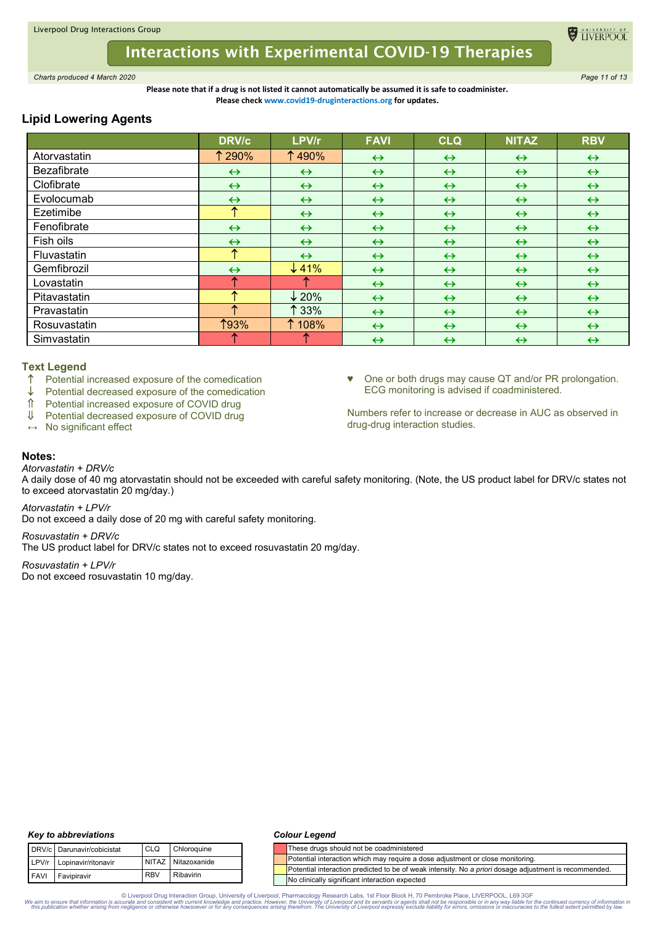# **Interactions with Experimental COVID-19 Therapies**

*Charts produced 4 March 2020 Page 11 of 13*

**Please note that if a drug is not listed it cannot automatically be assumed it is safe to coadminister. Please check www.covid19-druginteractions.org for updates.**

# **Lipid Lowering Agents**

|                    | <b>DRV/c</b>      | LPV/r             | <b>FAVI</b>       | <b>CLQ</b>        | <b>NITAZ</b>      | <b>RBV</b>        |
|--------------------|-------------------|-------------------|-------------------|-------------------|-------------------|-------------------|
| Atorvastatin       | <b>1290%</b>      | ↑490%             | $\leftrightarrow$ | $\leftrightarrow$ | $\leftrightarrow$ | $\leftrightarrow$ |
| <b>Bezafibrate</b> | $\leftrightarrow$ | $\leftrightarrow$ | $\leftrightarrow$ | $\leftrightarrow$ | $\leftrightarrow$ | $\leftrightarrow$ |
| Clofibrate         | $\leftrightarrow$ | $\leftrightarrow$ | $\leftrightarrow$ | $\leftrightarrow$ | $\leftrightarrow$ | $\leftrightarrow$ |
| Evolocumab         | $\leftrightarrow$ | $\leftrightarrow$ | $\leftrightarrow$ | $\leftrightarrow$ | $\leftrightarrow$ | $\leftrightarrow$ |
| Ezetimibe          | ᠰ                 | $\leftrightarrow$ | $\leftrightarrow$ | $\leftrightarrow$ | $\leftrightarrow$ | $\leftrightarrow$ |
| Fenofibrate        | $\leftrightarrow$ | $\leftrightarrow$ | $\leftrightarrow$ | $\leftrightarrow$ | $\leftrightarrow$ | $\leftrightarrow$ |
| Fish oils          | $\leftrightarrow$ | $\leftrightarrow$ | $\leftrightarrow$ | $\leftrightarrow$ | $\leftrightarrow$ | $\leftrightarrow$ |
| Fluvastatin        | ᠰ                 | $\leftrightarrow$ | $\leftrightarrow$ | $\leftrightarrow$ | $\leftrightarrow$ | $\leftrightarrow$ |
| Gemfibrozil        | $\leftrightarrow$ | $\downarrow$ 41%  | $\leftrightarrow$ | $\leftrightarrow$ | $\leftrightarrow$ | $\leftrightarrow$ |
| Lovastatin         | ∧                 |                   | $\leftrightarrow$ | $\leftrightarrow$ | $\leftrightarrow$ | $\leftrightarrow$ |
| Pitavastatin       |                   | $\downarrow$ 20%  | $\leftrightarrow$ | $\leftrightarrow$ | $\leftrightarrow$ | $\leftrightarrow$ |
| Pravastatin        |                   | $\uparrow$ 33%    | $\leftrightarrow$ | $\leftrightarrow$ | $\leftrightarrow$ | $\leftrightarrow$ |
| Rosuvastatin       | <b>193%</b>       | 108%              | $\leftrightarrow$ | $\leftrightarrow$ | $\leftrightarrow$ | $\leftrightarrow$ |
| Simvastatin        |                   |                   | $\leftrightarrow$ | $\leftrightarrow$ | $\leftrightarrow$ | $\leftrightarrow$ |

# **Text Legend**

Potential increased exposure of the comedication

 $\downarrow$  Potential decreased exposure of the comedication

- $\hat{\parallel}$  Potential increased exposure of COVID drug<br> $\parallel$  Potential decreased exposure of COVID drug
- Potential decreased exposure of COVID drug

**↔** No significant effect

♥ One or both drugs may cause QT and/or PR prolongation. ECG monitoring is advised if coadministered.

Numbers refer to increase or decrease in AUC as observed in drug-drug interaction studies.

#### **Notes:** *Atorvastatin + DRV/c*

A daily dose of 40 mg atorvastatin should not be exceeded with careful safety monitoring. (Note, the US product label for DRV/c states not to exceed atorvastatin 20 mg/day.)

*Atorvastatin + LPV/r*

Do not exceed a daily dose of 20 mg with careful safety monitoring.

*Rosuvastatin + DRV/c* The US product label for DRV/c states not to exceed rosuvastatin 20 mg/day.

*Rosuvastatin + LPV/r* Do not exceed rosuvastatin 10 mg/day.

# *Key to abbreviations*

|      | DRV/c Darunavir/cobicistat | CLO        | Chloroquine        |
|------|----------------------------|------------|--------------------|
|      | LPV/r Lopinavir/ritonavir  |            | NITAZ Nitazoxanide |
| FAVI | Favipiravir                | <b>RBV</b> | Ribavirin          |

# *Colour Legend*

|  | These drugs should not be coadministered                                                               |
|--|--------------------------------------------------------------------------------------------------------|
|  | Potential interaction which may require a dose adjustment or close monitoring.                         |
|  | Potential interaction predicted to be of weak intensity. No a priori dosage adjustment is recommended. |
|  | No clinically significant interaction expected                                                         |

© Liverpool Drug Interaction Group, University of Liverpool, Pharmacology Research Labs, 1st Floor Block H, 70 Pembroke Place, LIVERPOOL, L69 3GF the continued currency of information in Super and the University of Liverpo

**EL TIVERPOO**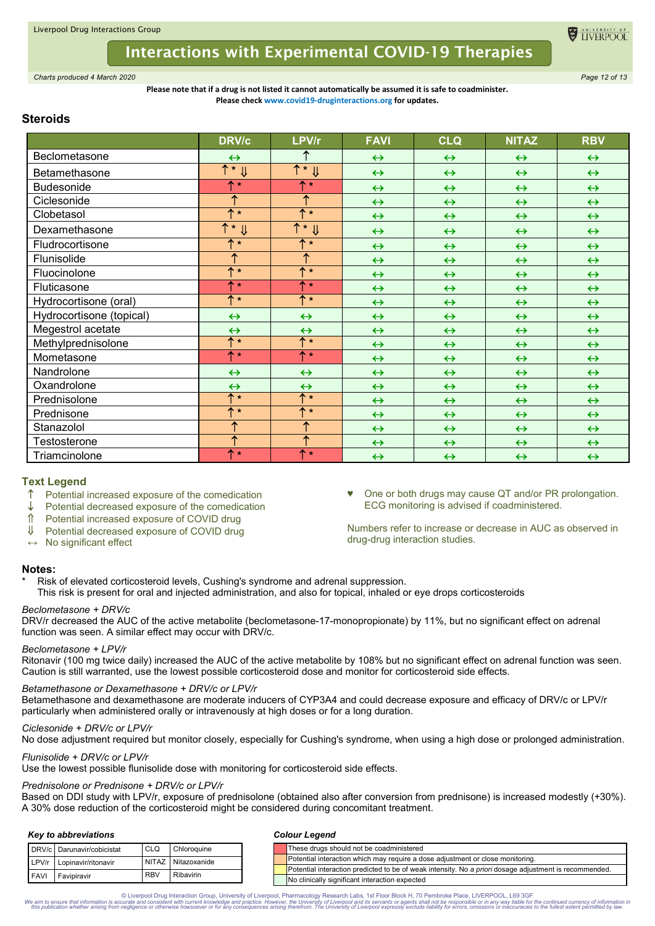

# **Interactions with Experimental COVID-19 Therapies**

*Charts produced 4 March 2020 Page 12 of 13*

#### **Please note that if a drug is not listed it cannot automatically be assumed it is safe to coadminister. Please check www.covid19-druginteractions.org for updates.**

# **Steroids**

|                          | <b>DRV/c</b>              | LPV/r                           | <b>FAVI</b>       | <b>CLQ</b>        | <b>NITAZ</b>      | <b>RBV</b>        |
|--------------------------|---------------------------|---------------------------------|-------------------|-------------------|-------------------|-------------------|
| Beclometasone            | $\leftrightarrow$         | ↑                               | $\leftrightarrow$ | $\leftrightarrow$ | $\leftrightarrow$ | $\leftrightarrow$ |
| Betamethasone            | $\uparrow$ * $\Downarrow$ | $\overline{\uparrow}$ * $\Vert$ | $\leftrightarrow$ | $\leftrightarrow$ | $\leftrightarrow$ | $\leftrightarrow$ |
| <b>Budesonide</b>        | $\triangle$ $\star$       | $\uparrow$ *                    | $\leftrightarrow$ | $\leftrightarrow$ | $\leftrightarrow$ | $\leftrightarrow$ |
| Ciclesonide              | ↑                         | ↑                               | $\leftrightarrow$ | $\leftrightarrow$ | $\leftrightarrow$ | $\leftrightarrow$ |
| Clobetasol               | $+$                       | $+$                             | $\leftrightarrow$ | $\leftrightarrow$ | $\leftrightarrow$ | $\leftrightarrow$ |
| Dexamethasone            | $T * \mathsf{U}$          | $T * \mathsf{U}$                | $\leftrightarrow$ | $\leftrightarrow$ | $\leftrightarrow$ | $\leftrightarrow$ |
| Fludrocortisone          | <b>1</b> *                | <b>1</b> *                      | $\leftrightarrow$ | $\leftrightarrow$ | $\leftrightarrow$ | $\leftrightarrow$ |
| Flunisolide              | ↑                         | ↑                               | $\leftrightarrow$ | $\leftrightarrow$ | $\leftrightarrow$ | $\leftrightarrow$ |
| Fluocinolone             | $+$                       | ↑*                              | $\leftrightarrow$ | $\leftrightarrow$ | $\leftrightarrow$ | $\leftrightarrow$ |
| Fluticasone              | <b>T</b> *                | ↑*                              | $\leftrightarrow$ | $\leftrightarrow$ | $\leftrightarrow$ | $\leftrightarrow$ |
| Hydrocortisone (oral)    | $+$                       | ↑*                              | $\leftrightarrow$ | $\leftrightarrow$ | $\leftrightarrow$ | $\leftrightarrow$ |
| Hydrocortisone (topical) | $\leftrightarrow$         | $\leftrightarrow$               | $\leftrightarrow$ | $\leftrightarrow$ | $\leftrightarrow$ | $\leftrightarrow$ |
| Megestrol acetate        | $\leftrightarrow$         | $\leftrightarrow$               | $\leftrightarrow$ | $\leftrightarrow$ | $\leftrightarrow$ | $\leftrightarrow$ |
| Methylprednisolone       | $+$                       | <b>1</b> *                      | $\leftrightarrow$ | $\leftrightarrow$ | $\leftrightarrow$ | $\leftrightarrow$ |
| Mometasone               | <b>1</b> *                | <b>1</b> *                      | $\leftrightarrow$ | $\leftrightarrow$ | $\leftrightarrow$ | $\leftrightarrow$ |
| Nandrolone               | $\leftrightarrow$         | $\leftrightarrow$               | $\leftrightarrow$ | $\leftrightarrow$ | $\leftrightarrow$ | $\leftrightarrow$ |
| Oxandrolone              | $\leftrightarrow$         | $\leftrightarrow$               | $\leftrightarrow$ | $\leftrightarrow$ | $\leftrightarrow$ | $\leftrightarrow$ |
| Prednisolone             | $+$                       | ↑*                              | $\leftrightarrow$ | $\leftrightarrow$ | $\leftrightarrow$ | $\leftrightarrow$ |
| Prednisone               | $+$                       | ↑*                              | $\leftrightarrow$ | $\leftrightarrow$ | $\leftrightarrow$ | $\leftrightarrow$ |
| Stanazolol               | ↑                         | ↑                               | $\leftrightarrow$ | $\leftrightarrow$ | $\leftrightarrow$ | $\leftrightarrow$ |
| Testosterone             | 个                         | ተ                               | $\leftrightarrow$ | $\leftrightarrow$ | $\leftrightarrow$ | $\leftrightarrow$ |
| Triamcinolone            | ↑∗                        | ↑*                              | $\leftrightarrow$ | $\leftrightarrow$ | $\leftrightarrow$ | $\leftrightarrow$ |

# **Text Legend**

- $\uparrow$  Potential increased exposure of the comedication
- Potential decreased exposure of the comedication
- Potential increased exposure of COVID drug
- ↓ Potential decreased exposure of COVID drug
- **↔** No significant effect

# **Notes:**

- Risk of elevated corticosteroid levels, Cushing's syndrome and adrenal suppression.
- This risk is present for oral and injected administration, and also for topical, inhaled or eye drops corticosteroids

# *Beclometasone + DRV/c*

DRV/r decreased the AUC of the active metabolite (beclometasone-17-monopropionate) by 11%, but no significant effect on adrenal function was seen. A similar effect may occur with DRV/c.

# *Beclometasone + LPV/r*

Ritonavir (100 mg twice daily) increased the AUC of the active metabolite by 108% but no significant effect on adrenal function was seen. Caution is still warranted, use the lowest possible corticosteroid dose and monitor for corticosteroid side effects.

# *Betamethasone or Dexamethasone + DRV/c or LPV/r*

Betamethasone and dexamethasone are moderate inducers of CYP3A4 and could decrease exposure and efficacy of DRV/c or LPV/r particularly when administered orally or intravenously at high doses or for a long duration.

# *Ciclesonide + DRV/c or LPV/r*

No dose adjustment required but monitor closely, especially for Cushing's syndrome, when using a high dose or prolonged administration.

# *Flunisolide + DRV/c or LPV/r*

Use the lowest possible flunisolide dose with monitoring for corticosteroid side effects.

# *Prednisolone or Prednisone + DRV/c or LPV/r*

Based on DDI study with LPV/r, exposure of prednisolone (obtained also after conversion from prednisone) is increased modestly (+30%). A 30% dose reduction of the corticosteroid might be considered during concomitant treatment.

#### *Key to abbreviations*

|             | DRV/c Darunavir/cobicistat | <b>CLO</b> | Chloroquine        |
|-------------|----------------------------|------------|--------------------|
|             | LPV/r Lopinavir/ritonavir  |            | NITAZ Nitazoxanide |
| <b>FAVI</b> | Favipiravir                | <b>RBV</b> | Ribavirin          |

# *Colour Legend*

|             | DRV/c Darunavir/cobicistat | <b>CLQ</b> | Chloroquine  |  |  | These drugs should not be coadministered                                                                      |
|-------------|----------------------------|------------|--------------|--|--|---------------------------------------------------------------------------------------------------------------|
| LPV/r       | Lopinavir/ritonavir        | NITAZ I    | Nitazoxanide |  |  | Potential interaction which may require a dose adjustment or close monitoring.                                |
|             |                            | <b>RBV</b> | Ribavirin    |  |  | Potential interaction predicted to be of weak intensity. No a <i>priori</i> dosage adjustment is recommended. |
| <b>FAVI</b> | Favipiravir                |            |              |  |  | No clinically significant interaction expected                                                                |

© Liverpool Drug Interaction Group, University of Liverpool, Pharmacology Research Labs, 1st Floor Block H, 70 Pembroke Place, LIVERPOOL, L69 3GF the continued currency of information in Super and the University of Liverpo

One or both drugs may cause QT and/or PR prolongation. ECG monitoring is advised if coadministered.

Numbers refer to increase or decrease in AUC as observed in drug-drug interaction studies.